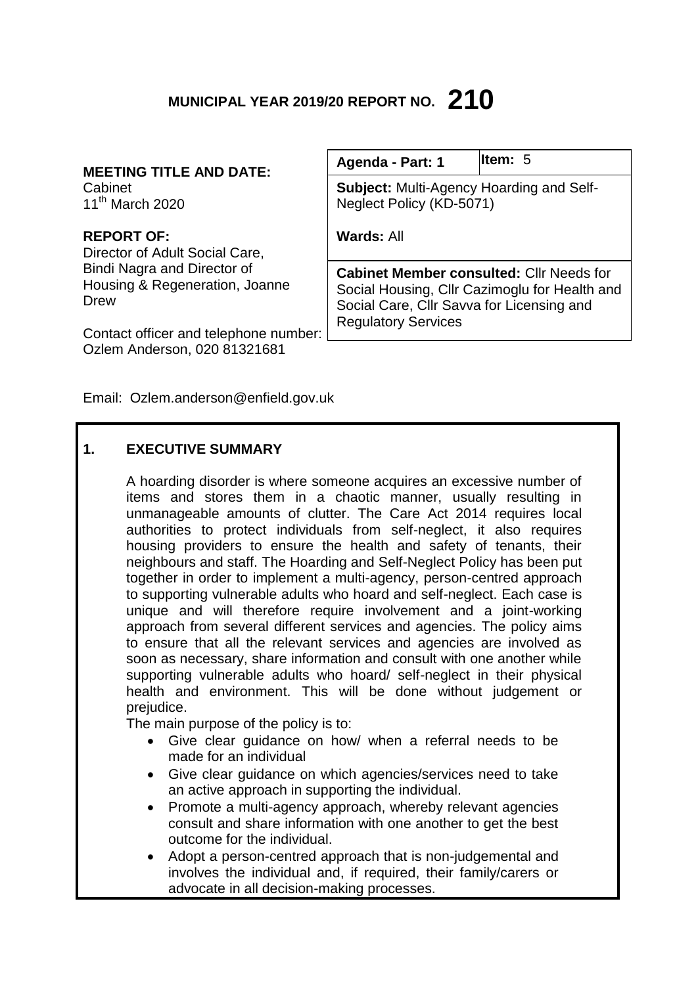# **MUNICIPAL YEAR 2019/20 REPORT NO. 210**

# **MEETING TITLE AND DATE:**

Cabinet 11th March 2020

# **REPORT OF:**

Director of Adult Social Care, Bindi Nagra and Director of Housing & Regeneration, Joanne Drew

Contact officer and telephone number: Ozlem Anderson, 020 81321681

| Agenda - Part: 1                                                                                                                              | ltem: 5 |
|-----------------------------------------------------------------------------------------------------------------------------------------------|---------|
| <b>Subject:</b> Multi-Agency Hoarding and Self-<br>Neglect Policy (KD-5071)                                                                   |         |
| Wards: All                                                                                                                                    |         |
| <b>Cabinet Member consulted: Cllr Needs for</b><br>Social Housing, Cllr Cazimoglu for Health and<br>Social Care, Cllr Savva for Licensing and |         |

Email: Ozlem.anderson@enfield.gov.uk

# **1. EXECUTIVE SUMMARY**

A hoarding disorder is where someone acquires an excessive number of items and stores them in a chaotic manner, usually resulting in unmanageable amounts of clutter. The Care Act 2014 requires local authorities to protect individuals from self-neglect, it also requires housing providers to ensure the health and safety of tenants, their neighbours and staff. The Hoarding and Self-Neglect Policy has been put together in order to implement a multi-agency, person-centred approach to supporting vulnerable adults who hoard and self-neglect. Each case is unique and will therefore require involvement and a joint-working approach from several different services and agencies. The policy aims to ensure that all the relevant services and agencies are involved as soon as necessary, share information and consult with one another while supporting vulnerable adults who hoard/ self-neglect in their physical health and environment. This will be done without judgement or prejudice.

Regulatory Services

The main purpose of the policy is to:

- Give clear guidance on how/ when a referral needs to be made for an individual
- Give clear guidance on which agencies/services need to take an active approach in supporting the individual.
- Promote a multi-agency approach, whereby relevant agencies consult and share information with one another to get the best outcome for the individual.
- Adopt a person-centred approach that is non-judgemental and involves the individual and, if required, their family/carers or advocate in all decision-making processes.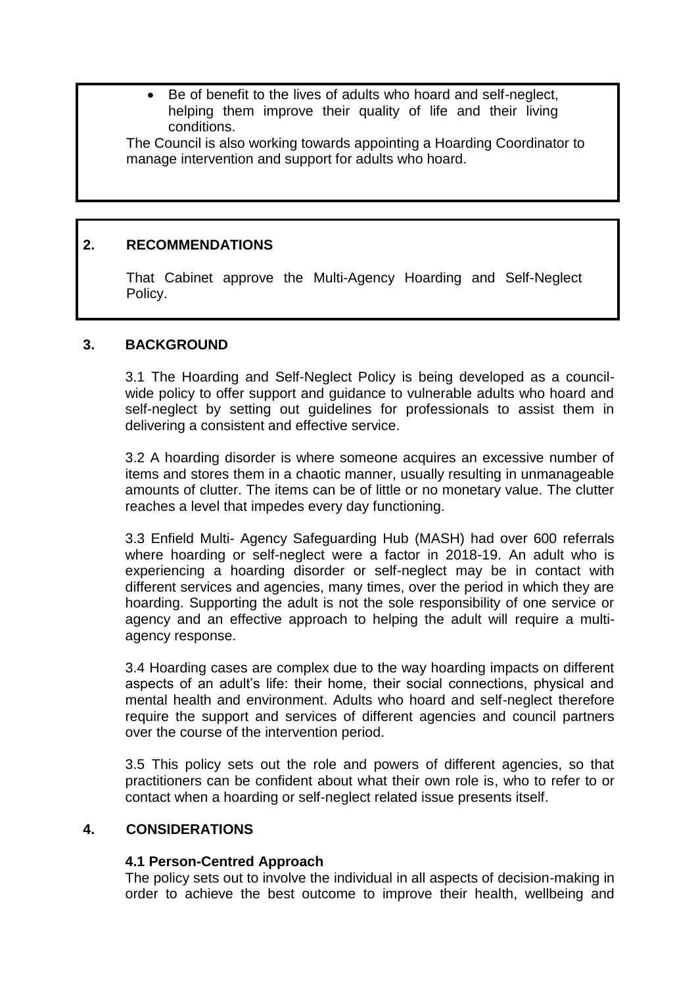Be of benefit to the lives of adults who hoard and self-neglect, helping them improve their quality of life and their living conditions.

The Council is also working towards appointing a Hoarding Coordinator to manage intervention and support for adults who hoard.

# **2. RECOMMENDATIONS**

That Cabinet approve the Multi-Agency Hoarding and Self-Neglect Policy.

# **3. BACKGROUND**

3.1 The Hoarding and Self-Neglect Policy is being developed as a councilwide policy to offer support and guidance to vulnerable adults who hoard and self-neglect by setting out guidelines for professionals to assist them in delivering a consistent and effective service.

3.2 A hoarding disorder is where someone acquires an excessive number of items and stores them in a chaotic manner, usually resulting in unmanageable amounts of clutter. The items can be of little or no monetary value. The clutter reaches a level that impedes every day functioning.

3.3 Enfield Multi- Agency Safeguarding Hub (MASH) had over 600 referrals where hoarding or self-neglect were a factor in 2018-19. An adult who is experiencing a hoarding disorder or self-neglect may be in contact with different services and agencies, many times, over the period in which they are hoarding. Supporting the adult is not the sole responsibility of one service or agency and an effective approach to helping the adult will require a multiagency response.

3.4 Hoarding cases are complex due to the way hoarding impacts on different aspects of an adult's life: their home, their social connections, physical and mental health and environment. Adults who hoard and self-neglect therefore require the support and services of different agencies and council partners over the course of the intervention period.

3.5 This policy sets out the role and powers of different agencies, so that practitioners can be confident about what their own role is, who to refer to or contact when a hoarding or self-neglect related issue presents itself.

# **4. CONSIDERATIONS**

# **4.1 Person-Centred Approach**

The policy sets out to involve the individual in all aspects of decision-making in order to achieve the best outcome to improve their health, wellbeing and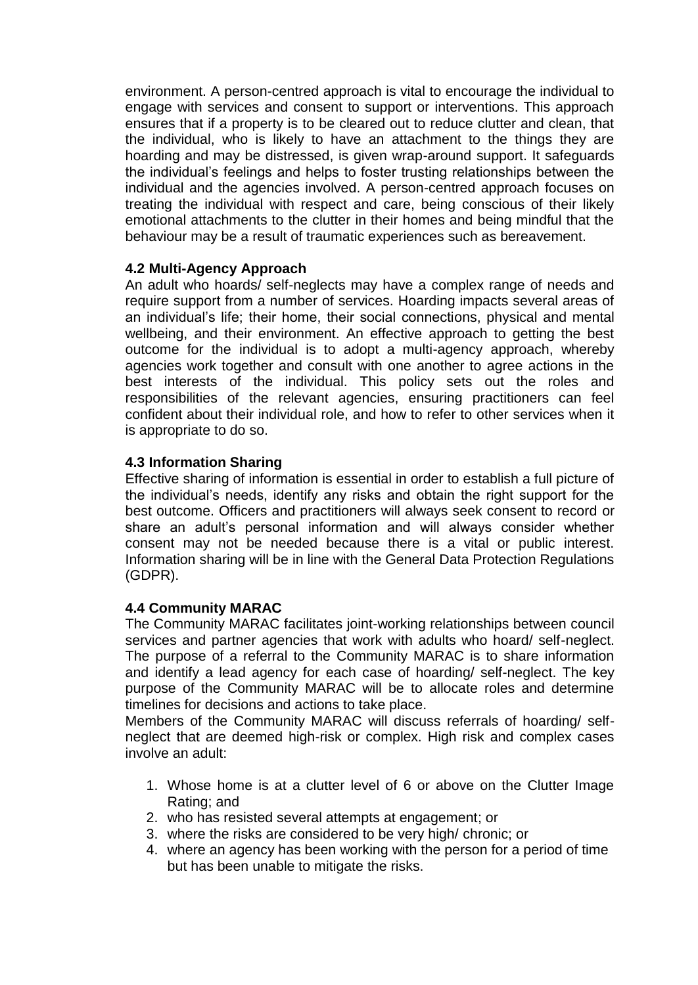environment. A person-centred approach is vital to encourage the individual to engage with services and consent to support or interventions. This approach ensures that if a property is to be cleared out to reduce clutter and clean, that the individual, who is likely to have an attachment to the things they are hoarding and may be distressed, is given wrap-around support. It safeguards the individual's feelings and helps to foster trusting relationships between the individual and the agencies involved. A person-centred approach focuses on treating the individual with respect and care, being conscious of their likely emotional attachments to the clutter in their homes and being mindful that the behaviour may be a result of traumatic experiences such as bereavement.

#### **4.2 Multi-Agency Approach**

An adult who hoards/ self-neglects may have a complex range of needs and require support from a number of services. Hoarding impacts several areas of an individual's life; their home, their social connections, physical and mental wellbeing, and their environment. An effective approach to getting the best outcome for the individual is to adopt a multi-agency approach, whereby agencies work together and consult with one another to agree actions in the best interests of the individual. This policy sets out the roles and responsibilities of the relevant agencies, ensuring practitioners can feel confident about their individual role, and how to refer to other services when it is appropriate to do so.

# **4.3 Information Sharing**

Effective sharing of information is essential in order to establish a full picture of the individual's needs, identify any risks and obtain the right support for the best outcome. Officers and practitioners will always seek consent to record or share an adult's personal information and will always consider whether consent may not be needed because there is a vital or public interest. Information sharing will be in line with the General Data Protection Regulations (GDPR).

# **4.4 Community MARAC**

The Community MARAC facilitates joint-working relationships between council services and partner agencies that work with adults who hoard/ self-neglect. The purpose of a referral to the Community MARAC is to share information and identify a lead agency for each case of hoarding/ self-neglect. The key purpose of the Community MARAC will be to allocate roles and determine timelines for decisions and actions to take place.

Members of the Community MARAC will discuss referrals of hoarding/ selfneglect that are deemed high-risk or complex. High risk and complex cases involve an adult:

- 1. Whose home is at a clutter level of 6 or above on the Clutter Image Rating; and
- 2. who has resisted several attempts at engagement; or
- 3. where the risks are considered to be very high/ chronic; or
- 4. where an agency has been working with the person for a period of time but has been unable to mitigate the risks.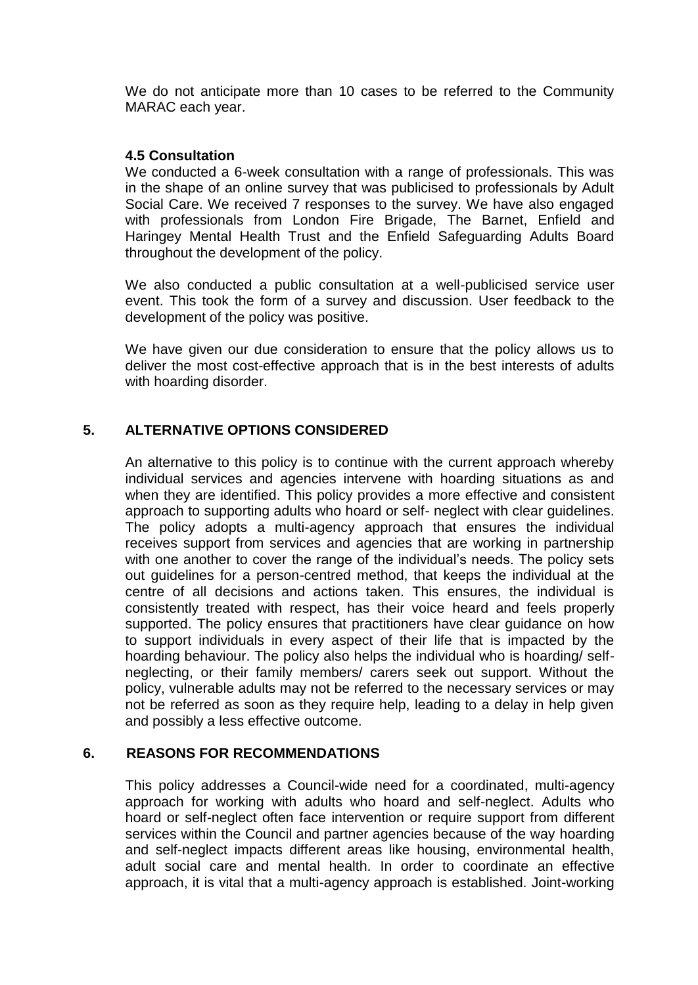We do not anticipate more than 10 cases to be referred to the Community MARAC each year.

#### **4.5 Consultation**

We conducted a 6-week consultation with a range of professionals. This was in the shape of an online survey that was publicised to professionals by Adult Social Care. We received 7 responses to the survey. We have also engaged with professionals from London Fire Brigade, The Barnet, Enfield and Haringey Mental Health Trust and the Enfield Safeguarding Adults Board throughout the development of the policy.

We also conducted a public consultation at a well-publicised service user event. This took the form of a survey and discussion. User feedback to the development of the policy was positive.

We have given our due consideration to ensure that the policy allows us to deliver the most cost-effective approach that is in the best interests of adults with hoarding disorder.

## **5. ALTERNATIVE OPTIONS CONSIDERED**

An alternative to this policy is to continue with the current approach whereby individual services and agencies intervene with hoarding situations as and when they are identified. This policy provides a more effective and consistent approach to supporting adults who hoard or self- neglect with clear guidelines. The policy adopts a multi-agency approach that ensures the individual receives support from services and agencies that are working in partnership with one another to cover the range of the individual's needs. The policy sets out guidelines for a person-centred method, that keeps the individual at the centre of all decisions and actions taken. This ensures, the individual is consistently treated with respect, has their voice heard and feels properly supported. The policy ensures that practitioners have clear guidance on how to support individuals in every aspect of their life that is impacted by the hoarding behaviour. The policy also helps the individual who is hoarding/ selfneglecting, or their family members/ carers seek out support. Without the policy, vulnerable adults may not be referred to the necessary services or may not be referred as soon as they require help, leading to a delay in help given and possibly a less effective outcome.

#### **6. REASONS FOR RECOMMENDATIONS**

This policy addresses a Council-wide need for a coordinated, multi-agency approach for working with adults who hoard and self-neglect. Adults who hoard or self-neglect often face intervention or require support from different services within the Council and partner agencies because of the way hoarding and self-neglect impacts different areas like housing, environmental health, adult social care and mental health. In order to coordinate an effective approach, it is vital that a multi-agency approach is established. Joint-working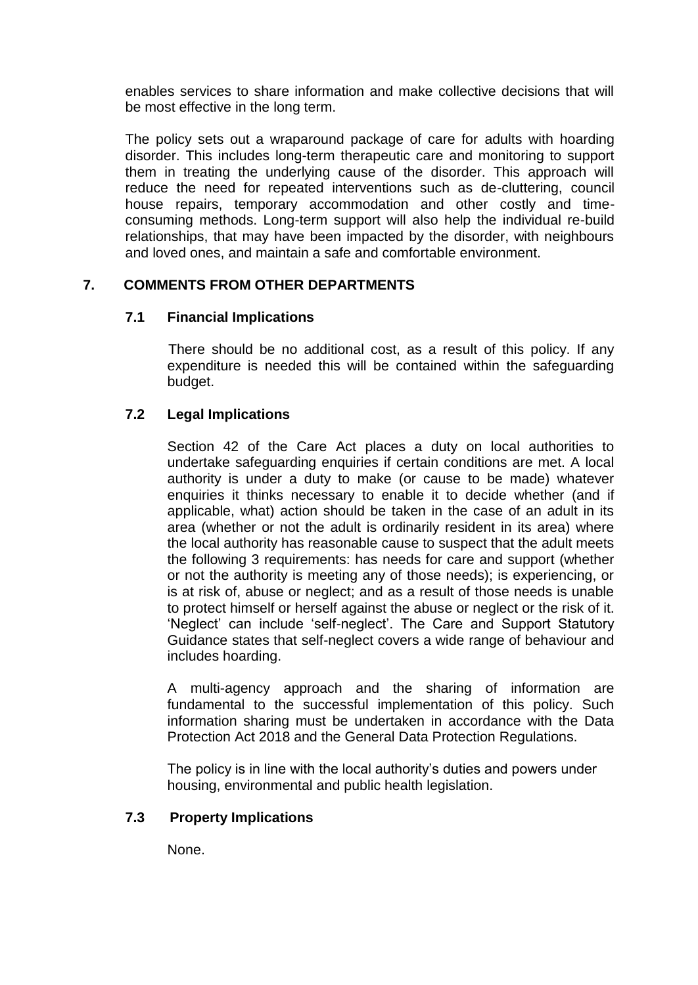enables services to share information and make collective decisions that will be most effective in the long term.

The policy sets out a wraparound package of care for adults with hoarding disorder. This includes long-term therapeutic care and monitoring to support them in treating the underlying cause of the disorder. This approach will reduce the need for repeated interventions such as de-cluttering, council house repairs, temporary accommodation and other costly and timeconsuming methods. Long-term support will also help the individual re-build relationships, that may have been impacted by the disorder, with neighbours and loved ones, and maintain a safe and comfortable environment.

# **7. COMMENTS FROM OTHER DEPARTMENTS**

#### **7.1 Financial Implications**

 There should be no additional cost, as a result of this policy. If any expenditure is needed this will be contained within the safeguarding budget.

## **7.2 Legal Implications**

Section 42 of the Care Act places a duty on local authorities to undertake safeguarding enquiries if certain conditions are met. A local authority is under a duty to make (or cause to be made) whatever enquiries it thinks necessary to enable it to decide whether (and if applicable, what) action should be taken in the case of an adult in its area (whether or not the adult is ordinarily resident in its area) where the local authority has reasonable cause to suspect that the adult meets the following 3 requirements: has needs for care and support (whether or not the authority is meeting any of those needs); is experiencing, or is at risk of, abuse or neglect; and as a result of those needs is unable to protect himself or herself against the abuse or neglect or the risk of it. 'Neglect' can include 'self-neglect'. The Care and Support Statutory Guidance states that self-neglect covers a wide range of behaviour and includes hoarding.

A multi-agency approach and the sharing of information are fundamental to the successful implementation of this policy. Such information sharing must be undertaken in accordance with the Data Protection Act 2018 and the General Data Protection Regulations.

The policy is in line with the local authority's duties and powers under housing, environmental and public health legislation.

#### **7.3 Property Implications**

None.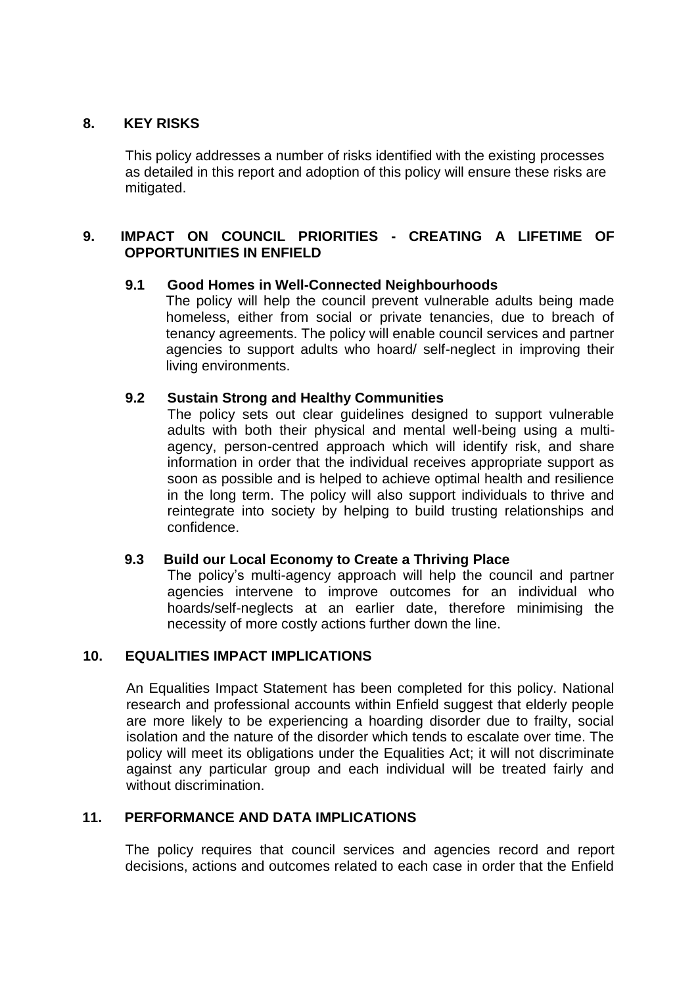## **8. KEY RISKS**

This policy addresses a number of risks identified with the existing processes as detailed in this report and adoption of this policy will ensure these risks are mitigated.

## **9. IMPACT ON COUNCIL PRIORITIES - CREATING A LIFETIME OF OPPORTUNITIES IN ENFIELD**

#### **9.1 Good Homes in Well-Connected Neighbourhoods**

The policy will help the council prevent vulnerable adults being made homeless, either from social or private tenancies, due to breach of tenancy agreements. The policy will enable council services and partner agencies to support adults who hoard/ self-neglect in improving their living environments.

#### **9.2 Sustain Strong and Healthy Communities**

The policy sets out clear guidelines designed to support vulnerable adults with both their physical and mental well-being using a multiagency, person-centred approach which will identify risk, and share information in order that the individual receives appropriate support as soon as possible and is helped to achieve optimal health and resilience in the long term. The policy will also support individuals to thrive and reintegrate into society by helping to build trusting relationships and confidence.

#### **9.3 Build our Local Economy to Create a Thriving Place**

The policy's multi-agency approach will help the council and partner agencies intervene to improve outcomes for an individual who hoards/self-neglects at an earlier date, therefore minimising the necessity of more costly actions further down the line.

#### **10. EQUALITIES IMPACT IMPLICATIONS**

An Equalities Impact Statement has been completed for this policy. National research and professional accounts within Enfield suggest that elderly people are more likely to be experiencing a hoarding disorder due to frailty, social isolation and the nature of the disorder which tends to escalate over time. The policy will meet its obligations under the Equalities Act; it will not discriminate against any particular group and each individual will be treated fairly and without discrimination.

#### **11. PERFORMANCE AND DATA IMPLICATIONS**

The policy requires that council services and agencies record and report decisions, actions and outcomes related to each case in order that the Enfield